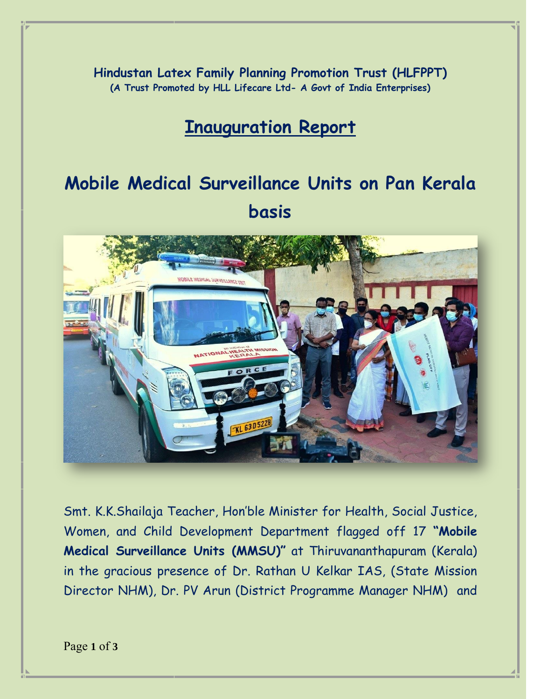**Hindustan Latex Family Planning Promotion Trust (HLFPPT) (A Trust Promoted by HLL Lifecare Ltd- A Govt of India Enterprises)**

## **Inauguration Report**

## **Mobile Medical Surveillance Units on Pan Kerala basis**



Smt. K.K.Shailaja Teacher, Hon'ble Minister for Health, Social Justice, Women, and Child Development Department flagged off 17 **"Mobile Medical Surveillance Units (MMSU)"** at Thiruvananthapuram (Kerala) in the gracious presence of Dr. Rathan U Kelkar IAS, (State Mission Director NHM), Dr. PV Arun (District Programme Manager NHM) and

Page **1** of **3**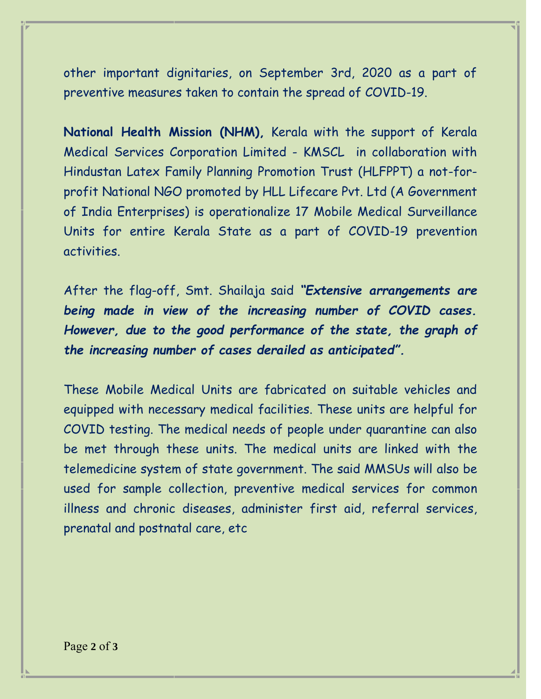other important dignitaries, on September 3rd, 2020 as a part of preventive measures taken to contain the spread of COVID-19.

**National Health Mission (NHM),** Kerala with the support of Kerala Medical Services Corporation Limited - KMSCL in collaboration with Hindustan Latex Family Planning Promotion Trust (HLFPPT) a not-forprofit National NGO promoted by HLL Lifecare Pvt. Ltd (A Government of India Enterprises) is operationalize 17 Mobile Medical Surveillance Units for entire Kerala State as a part of COVID-19 prevention activities.

After the flag-off, Smt. Shailaja said *"Extensive arrangements are being made in view of the increasing number of COVID cases. However, due to the good performance of the state, the graph of the increasing number of cases derailed as anticipated".*

These Mobile Medical Units are fabricated on suitable vehicles and equipped with necessary medical facilities. These units are helpful for COVID testing. The medical needs of people under quarantine can also be met through these units. The medical units are linked with the telemedicine system of state government. The said MMSUs will also be used for sample collection, preventive medical services for common illness and chronic diseases, administer first aid, referral services, prenatal and postnatal care, etc